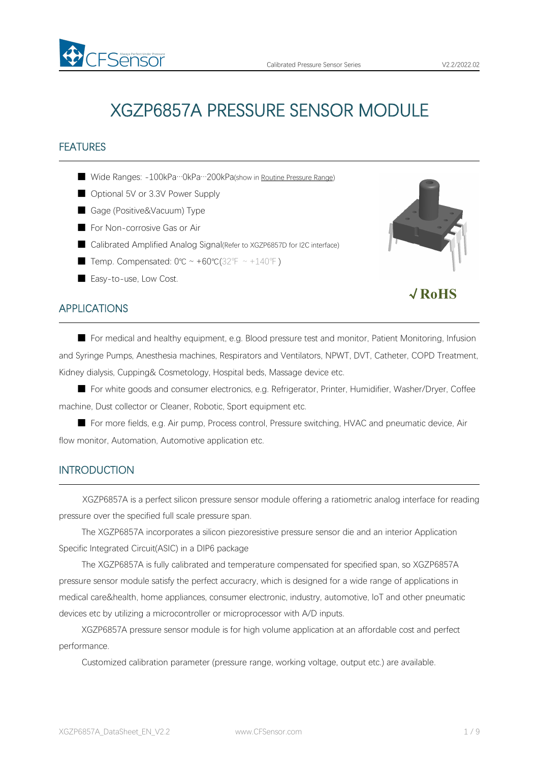

√**RoHS**

# XGZP6857A PRESSURE SENSOR MODULE

## FEATURES

- Wide Ranges: -100kPa…0kPa…200kPa(show in Routine [Pressure](#page-4-0) Range)
- Optional 5V or 3.3V Power Supply
- Gage (Positive&Vacuum) Type
- For Non-corrosive Gas or Air
- Calibrated Amplified Analog Signal(Refer to XGZP6857D for I2C interface)
- Temp. Compensated:  $0^{\circ}C \sim +60^{\circ}C(32^{\circ}F \sim +140^{\circ}F)$
- Easy-to-use, Low Cost.

## APPLICATIONS

■ For medical and healthy equipment, e.g. Blood pressure test and monitor, Patient Monitoring, Infusion and Syringe Pumps, Anesthesia machines, Respirators and Ventilators, NPWT, DVT, Catheter, COPD Treatment, Kidney dialysis, Cupping& Cosmetology, Hospital beds, Massage device etc.

■ For white goods and consumer electronics, e.g. Refrigerator, Printer, Humidifier, Washer/Dryer, Coffee machine, Dust collector or Cleaner, Robotic, Sport equipment etc.

■ For more fields, e.g. Air pump, Process control, Pressure switching, HVAC and pneumatic device, Air flow monitor, Automation, Automotive application etc.

## **INTRODUCTION**

XGZP6857A is a perfect silicon pressure sensor module offering a ratiometric analog interface for reading pressure over the specified full scale pressure span.

The XGZP6857A incorporates a silicon piezoresistive pressure sensor die and an interior Application Specific Integrated Circuit(ASIC) in a DIP6 package

The XGZP6857A is fully calibrated and temperature compensated for specified span, so XGZP6857A pressure sensor module satisfy the perfect accuracry, which is designed for a wide range of applications in medical care&health, home appliances, consumer electronic, industry, automotive, loT and other pneumatic devices etc by utilizing a microcontroller or microprocessor with A/D inputs.

XGZP6857A pressure sensor module is for high volume application at an affordable cost and perfect performance.

Customized calibration parameter (pressure range, working voltage, output etc.) are available.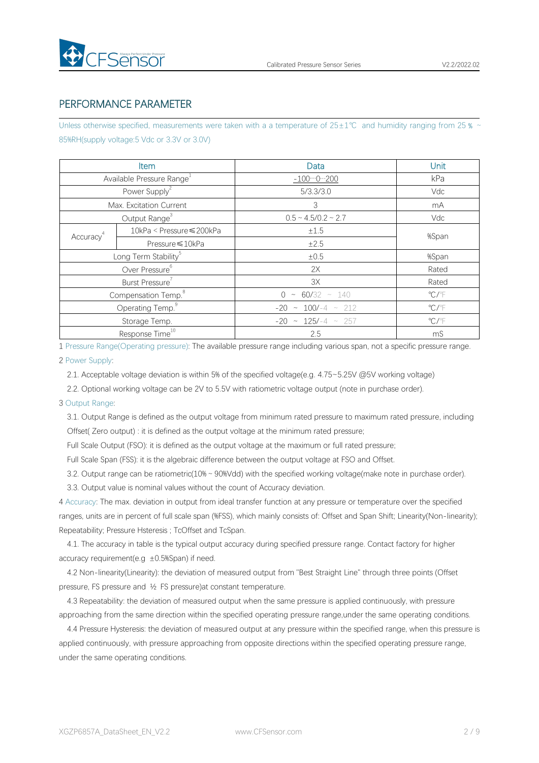

## PERFORMANCE PARAMETER

Unless otherwise specified, measurements were taken with a a temperature of 25±1℃ and humidity ranging from 25 % ~ 85%RH(supply voltage:5 Vdc or 3.3V or 3.0V)

|                       | Item                                  | Data                        | Unit                       |
|-----------------------|---------------------------------------|-----------------------------|----------------------------|
|                       | Available Pressure Range <sup>1</sup> | $-1000200$                  | kPa                        |
|                       | Power Supply <sup>2</sup>             | 5/3.3/3.0                   | Vdc                        |
|                       | Max. Excitation Current               | 3                           | mA                         |
|                       | Output Range <sup>3</sup>             | $0.5 \sim 4.5/0.2 \sim 2.7$ | Vdc                        |
| Accuracy <sup>4</sup> | 10kPa < Pressure ≤ 200kPa             | ±1.5                        | %Span                      |
|                       | Pressure ≤10kPa                       | ±2.5                        |                            |
|                       | Long Term Stability <sup>5</sup>      | ±0.5                        | %Span                      |
|                       | Over Pressure <sup>6</sup>            | 2X                          | Rated                      |
|                       | Burst Pressure <sup>7</sup>           | 3X                          | Rated                      |
|                       | Compensation Temp. <sup>8</sup>       | $0 \sim 60/32 \sim 140$     | $^{\circ}$ C/ $^{\circ}$ F |
|                       | Operating Temp. <sup>9</sup>          | $-20 \sim 100/-4 \sim 212$  | $\mathrm{C}/\mathrm{F}$    |
|                       | Storage Temp.                         | $-20 \sim 125/-4 \sim 257$  | $\mathrm{C}/\mathrm{F}$    |
|                       | Response Time <sup>10</sup>           | 2.5                         | mS                         |

1 Pressure Range(Operating pressure): The available pressure range including variousspan, not a specific pressure range.

#### 2 Power Supply:

2.1. Acceptable voltage deviation is within 5% of the specified voltage(e.g. 4.75~5.25V @5V working voltage)

2.2. Optional working voltage can be 2V to 5.5V with ratiometric voltage output (note in purchase order).

### 3 Output Range:

3.1. Output Range is defined as the output voltage from minimum rated pressure to maximum rated pressure, including Offset( Zero output) : it is defined as the output voltage at the minimum rated pressure;

Full Scale Output (FSO): it is defined as the output voltage at the maximum or full rated pressure;

Full Scale Span (FSS): it is the algebraic difference between the output voltage at FSO and Offset.

3.2. Output range can be ratiometric(10%~90%Vdd) with the specified working voltage(make note in purchase order).

3.3. Output value is nominal values without the count of Accuracy deviation.

4 Accuracy: The max. deviation in output from ideal transfer function at any pressure or temperature over the specified ranges, units are in percent of full scale span (%FSS), which mainly consists of: Offset and Span Shift; Linearity(Non-linearity); Repeatability; Pressure Hsteresis ; TcOffset and TcSpan.

4.1. The accuracy in table is the typical output accuracy during specified pressure range. Contact factory for higher accuracy requirement(e.g  $\pm$ 0.5%Span) if need.

4.2 Non-linearity(Linearity): the deviation of measured output from "Best Straight Line" through three points (Offset pressure, FS pressure and ½ FS pressure)at constant temperature.

4.3 Repeatability: the deviation of measured output when the same pressure is applied continuously, with pressure approaching from the same direction within the specified operating pressure range,under the same operating conditions.

4.4 Pressure Hysteresis: the deviation of measured output at any pressure within the specified range, when this pressure is applied continuously, with pressure approaching from opposite directions within the specified operating pressure range, under the same operating conditions.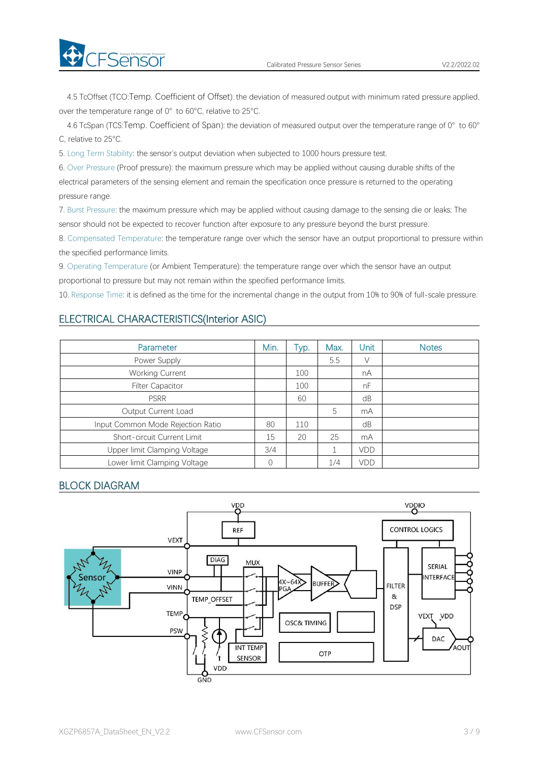4.5 TcOffset (TCO:Temp. Coefficient of Offset): the deviation of measured output with minimum rated pressure applied, over the temperature range of 0° to 60°C, relative to 25°C.

4.6 TcSpan (TCS:Temp. Coefficient of Span): the deviation of measured output over the temperature range of 0° to 60° C, relative to 25°C.

5. Long Term Stability: the sensor's output deviation when subjected to 1000 hours pressure test.

6. Over Pressure (Proof pressure): the maximum pressure which may be applied without causing durable shifts of the electrical parameters of the sensing element and remain the specification once pressure is returned to the operating pressure range.

7. Burst Pressure: the maximum pressure which may be applied without causing damage to the sensing die or leaks; The sensor should not be expected to recover function after exposure to any pressure beyond the burst pressure.

8. Compensated Temperature: the temperature range over which the sensor have an output proportional to pressure within the specified performance limits.

9. Operating Temperature (or Ambient Temperature): the temperature range over which the sensor have an output proportional to pressure but may not remain within the specified performance limits.

10. Response Time: it is defined as the time for the incremental change in the output from 10% to 90% of full-scale pressure.

### ELECTRICAL CHARACTERISTICS(Interior ASIC)

| Parameter                         | Min. | Typ. | Max. | Unit       | <b>Notes</b> |
|-----------------------------------|------|------|------|------------|--------------|
| Power Supply                      |      |      | 5.5  | V          |              |
| Working Current                   |      | 100  |      | nA         |              |
| <b>Filter Capacitor</b>           |      | 100  |      | nF         |              |
| <b>PSRR</b>                       |      | 60   |      | dB         |              |
| Output Current Load               |      |      | 5    | mA         |              |
| Input Common Mode Rejection Ratio | 80   | 110  |      | dB         |              |
| Short-circuit Current Limit       | 15   | 20   | 25   | mA         |              |
| Upper limit Clamping Voltage      | 3/4  |      |      | <b>VDD</b> |              |
| Lower limit Clamping Voltage      |      |      | 1/4  | VDD        |              |

## BLOCK DIAGRAM

**Exercise** 

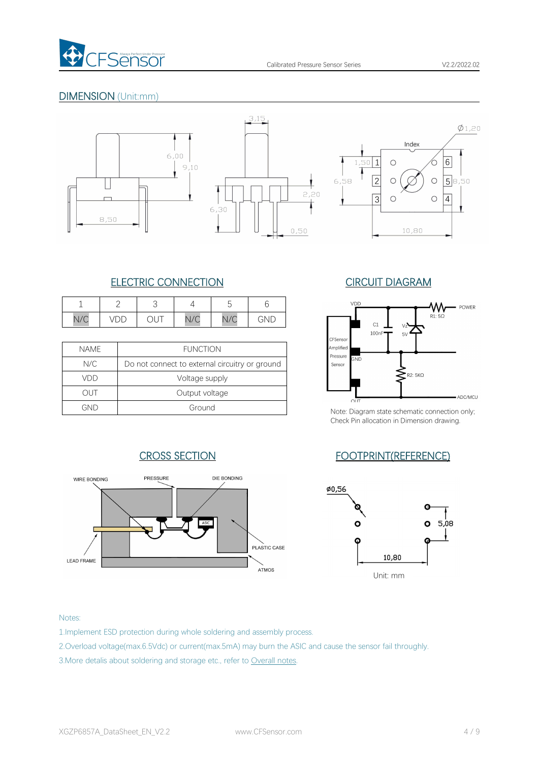

## DIMENSION (Unit:mm)







## ELECTRIC CONNECTION CIRCUIT DIAGRAM

|     |        |                                               |                   | $\overline{\phantom{a}}$<br>∽<br>∽   |         |
|-----|--------|-----------------------------------------------|-------------------|--------------------------------------|---------|
| N/C | ◡<br>້ | $\overline{a}$<br>$\checkmark$<br>$\check{ }$ | $\sqrt{2}$<br>V/U | $\overline{\phantom{a}}$<br>$V \cup$ | -<br>N∟ |

| <b>NAME</b> | <b>FUNCTION</b>                                | Amplified<br>Pressure |      |
|-------------|------------------------------------------------|-----------------------|------|
| N/C         | Do not connect to external circuitry or ground | Sensor                | GND  |
| VDD         | Voltage supply                                 |                       |      |
| OUT         | Output voltage                                 |                       |      |
| GND         | Ground                                         | Note: Diagra          | OLIT |



Note: Diagram state schematic connection only; Check Pin allocation in Dimension drawing.

## CROSS SECTION FOOTPRINT(REFERENCE)





#### Notes:

- 1.Implement ESD protection during whole soldering and assembly process.
- 2.Overload voltage(max.6.5Vdc) or current(max.5mA) may burn the ASIC and cause the sensor fail throughly.
- 3.More detalis about soldering and storage etc., refer to Overall notes.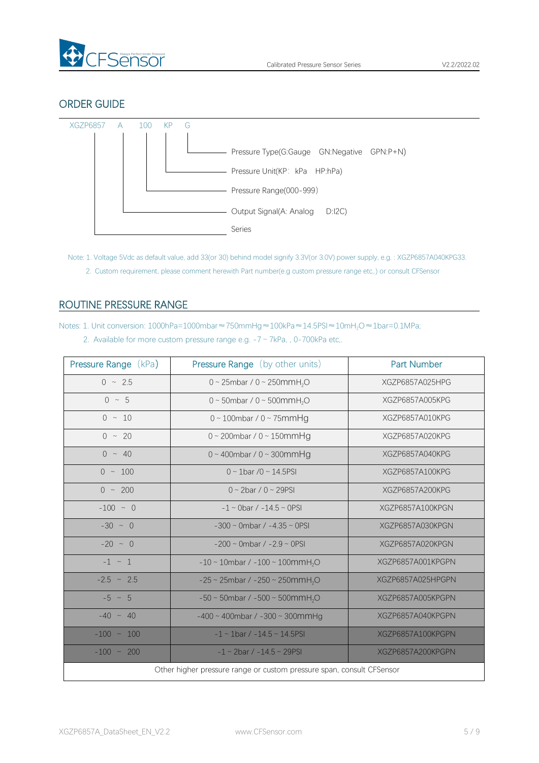

## ORDER GUIDE



Note: 1. Voltage 5Vdc as default value, add 33(or 30) behind model signify 3.3V(or 3.0V) power supply, e.g. : XGZP6857A040KPG33. 2. Custom requirement, please comment herewith Part number(e.g custom pressure range etc,.) or consult CFSensor

## <span id="page-4-0"></span>ROUTINE PRESSURE RANGE

Notes: 1. Unit conversion: 1000hPa=1000mbar≈750mmHg≈100kPa≈14.5PSI≈10mH<sub>2</sub>O≈1bar=0.1MPa;

|  |  |  | 2. Available for more custom pressure range e.g. $-7 \sim 7kPa$ , , 0-700kPa etc. |  |
|--|--|--|-----------------------------------------------------------------------------------|--|
|--|--|--|-----------------------------------------------------------------------------------|--|

| <b>Pressure Range (kPa)</b> | Pressure Range (by other units)                                       | <b>Part Number</b> |
|-----------------------------|-----------------------------------------------------------------------|--------------------|
| $0 \sim 2.5$                | 0 ~ 25mbar / 0 ~ 250mmH <sub>2</sub> O                                | XGZP6857A025HPG    |
| $0 \sim 5$                  | 0 ~ 50mbar / 0 ~ 500mmH <sub>2</sub> O                                | XGZP6857A005KPG    |
| $0 \sim 10$                 | $0 \sim 100$ mbar / $0 \sim 75$ mmHg                                  | XGZP6857A010KPG    |
| $0 \sim 20$                 | $0 \sim 200$ mbar / $0 \sim 150$ mmHg                                 | XGZP6857A020KPG    |
| $0 \sim 40$                 | $0 \sim 400$ mbar / $0 \sim 300$ mmHg                                 | XGZP6857A040KPG    |
| $0 \sim 100$                | $0 \sim 1$ bar /0 ~ 14.5PSI                                           | XGZP6857A100KPG    |
| $0 \sim 200$                | $0 \sim 2$ bar / $0 \sim 29$ PSI                                      | XGZP6857A200KPG    |
| $-100 - 0$                  | $-1 \sim$ 0bar / $-14.5 \sim$ 0PSI                                    | XGZP6857A100KPGN   |
| $-30 \sim 0$                | $-300 \sim$ 0mbar / $-4.35 \sim$ 0PSI                                 | XGZP6857A030KPGN   |
| $-20 \sim 0$                | $-200 \sim$ 0mbar / $-2.9 \sim$ 0PSI                                  | XGZP6857A020KPGN   |
| $-1$ $\sim$ 1               | $-10 \sim 10$ mbar / $-100 \sim 100$ mmH <sub>2</sub> O               | XGZP6857A001KPGPN  |
| $-2.5 \sim 2.5$             | $-25 \sim 25$ mbar / $-250 \sim 250$ mmH <sub>2</sub> O               | XGZP6857A025HPGPN  |
| $-5 \sim 5$                 | $-50 \sim 50$ mbar / $-500 \sim 500$ mmH <sub>2</sub> O               | XGZP6857A005KPGPN  |
| $-40 \sim 40$               | $-400 \sim 400$ mbar / $-300 \sim 300$ mmHg                           | XGZP6857A040KPGPN  |
| $-100 \sim 100$             | $-1 \sim 1$ bar / $-14.5 \sim 14.5$ PSI                               | XGZP6857A100KPGPN  |
| $-100 \sim 200$             | $-1 \sim 2$ bar / $-14.5 \sim 29$ PSI                                 | XGZP6857A200KPGPN  |
|                             | Other higher pressure range or custom pressure span, consult CFSensor |                    |
|                             |                                                                       |                    |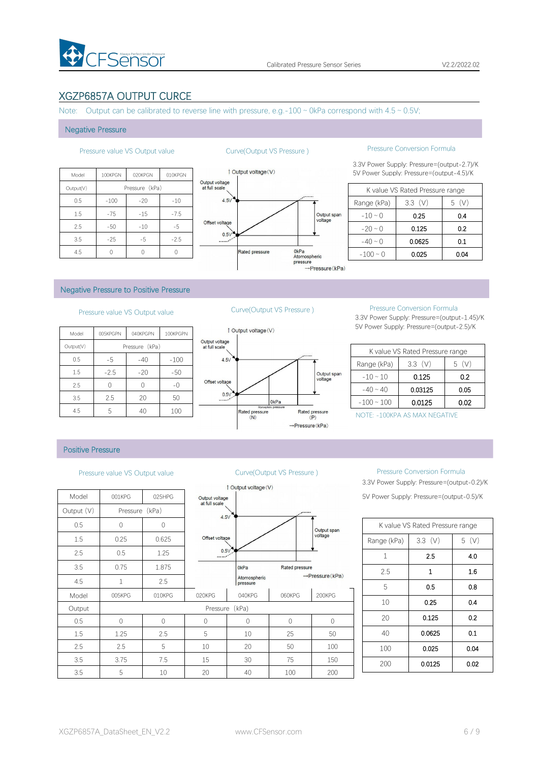

## XGZP6857A OUTPUT CURCE

Note: Output can be calibrated to reverse line with pressure, e.g.-100  $\sim$  0kPa correspond with 4.5  $\sim$  0.5V;

#### Negative Pressure

| <b>Ou</b>                       | 010KPGN | 020KPGN        | 100KPGN | Model     |
|---------------------------------|---------|----------------|---------|-----------|
| Output voltage<br>at full scale |         | Pressure (kPa) |         | Output(V) |
| 4.5V                            | $-10$   | $-20$          | $-100$  | 0.5       |
|                                 | $-7.5$  | $-15$          | $-75$   | 1.5       |
| Offset voltage                  | $-5$    | $-10$          | $-50$   | 2.5       |
| 0.5V<br>$\ldots$                | $-2.5$  | $-5$           | $-25$   | 3.5       |
|                                 |         |                |         | 4.5       |



## Pressure value VS Output value Curve(Output VS Pressure ) Pressure Conversion Formula

3.3V Power Supply: Pressure=(output-2.7)/K 1 Output voltage (V) 5V Power Supply: Pressure=(output-4.5)/K

|               | K value VS Rated Pressure range |       |
|---------------|---------------------------------|-------|
| Range (kPa)   | $3.3$ (V)                       | 5 (V) |
| $-10 \sim 0$  | 0.25                            | 0.4   |
| $-20 \sim 0$  | 0.125                           | 0.2   |
| $-40 \sim 0$  | 0.0625                          | 0.1   |
| $-100 \sim 0$ | 0.025                           | 0.04  |

### Negative Pressure to Positive Pressure

## Pressure value VS Output value Curve(Output VS Pressure ) Pressure Conversion Formula

| 1 Output vo     |                                 | 100KPGPN | 040KPGPN       | 005KPGPN | Model     |
|-----------------|---------------------------------|----------|----------------|----------|-----------|
|                 | Output voltage<br>at full scale |          | Pressure (kPa) |          | Output(V) |
|                 | 4.5V                            | $-100$   | $-40$          | -5       | 0.5       |
|                 |                                 | $-50$    | $-20$          | $-2.5$   | 1.5       |
|                 | Offset voltage                  | $-()$    |                |          | 2.5       |
|                 | 0.5V                            | 50       | 20             | 2.5      | 3.5       |
| Rated pr<br>(N) |                                 | 100      | 40             | 5        | 4.5       |



3.3V Power Supply: Pressure=(output-1.45)/K 5V Power Supply: Pressure=(output-2.5)/K

|                 | K value VS Rated Pressure range |          |
|-----------------|---------------------------------|----------|
| Range (kPa)     | 3.3(V)                          | (V)<br>5 |
| $-10 \sim 10$   | 0.125                           | 0.2      |
| $-40 \sim 40$   | 0.03125                         | 0.05     |
| $-100 \sim 100$ | 0.0125                          | 0.02     |

NOTE: -100KPA AS MAX NEGATIVE

### Positive Pressure

|            |                |                |                                 | 1 Output voltage (V)     |             |
|------------|----------------|----------------|---------------------------------|--------------------------|-------------|
| Model      | 001KPG         | 025HPG         | Output voltage<br>at full scale |                          |             |
| Output (V) | Pressure (kPa) |                | 4.5V                            |                          |             |
| 0.5        | $\mathbf 0$    | $\overline{0}$ |                                 |                          |             |
| 1.5        | 0.25           | 0.625          | Offset voltage                  |                          |             |
| 2.5        | 0.5            | 1.25           | 0.5V                            |                          |             |
| 3.5        | 0.75           | 1.875          |                                 | 0 <sub>kPa</sub>         | Rated       |
| 4.5        | $\mathbf{1}$   | 2.5            |                                 | Atomospheric<br>pressure |             |
| Model      | 005KPG         | 010KPG         | 020KPG                          | 040KPG                   | 060K        |
| Output     |                |                |                                 | Pressure (kPa)           |             |
| 0.5        | $\mathbf 0$    | $\Omega$       | 0                               | 0                        | $\mathbf 0$ |
| 1.5        | 1.25           | 2.5            | 5                               | 10                       | 25          |
| 2.5        | 2.5            | 5              | 10                              | 20                       | 50          |
| 3.5        | 3.75           | 7.5            | 15                              | 30                       | 75          |
| 3.5        | 5              | 10             | 20                              | 40                       | 100         |



### Pressure value VS Output value Curve(Output VS Pressure ) Pressure Conversion Formula

3.3V Power Supply: Pressure=(output-0.2)/K 5V Power Supply: Pressure=(output-0.5)/K

|              | K value VS Rated Pressure range |      |
|--------------|---------------------------------|------|
| Range (kPa)  | 3.3(V)                          | 5(V) |
| $\mathbf{1}$ | 2.5                             | 4.0  |
| 2.5          | 1                               | 1.6  |
| 5            | 0.5                             | 0.8  |
| 10           | 0.25                            | 0.4  |
| 20           | 0.125                           | 0.2  |
| 40           | 0.0625                          | 0.1  |
| 100          | 0.025                           | 0.04 |
| 200          | 0.0125                          | 0.02 |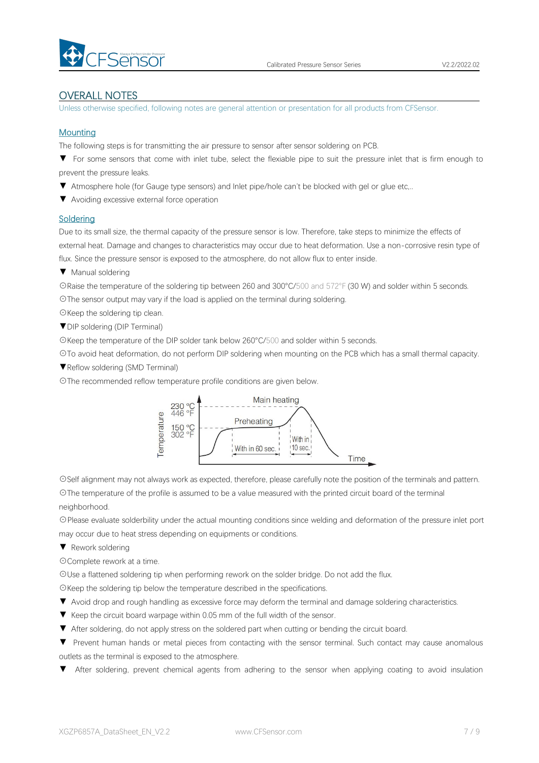

## OVERALL NOTES

Unless otherwise specified, following notes are general attention or presentation for all products from CFSensor.

### **Mounting**

The following steps is for transmitting the air pressure to sensor after sensor soldering on PCB.

▼ For some sensors that come with inlet tube, select the flexiable pipe to suit the pressure inlet that is firm enough to prevent the pressure leaks.

- ▼ Atmosphere hole (for Gauge type sensors) and Inlet pipe/hole can't be blocked with gel or glue etc,..
- ▼ Avoiding excessive external force operation

### **Soldering**

Due to its small size, the thermal capacity of the pressure sensor is low. Therefore, take steps to minimize the effects of external heat. Damage and changes to characteristics may occur due to heat deformation. Use a non-corrosive resin type of flux. Since the pressure sensor is exposed to the atmosphere, do not allow flux to enter inside.

▼ Manual soldering

☉Raise the temperature of the soldering tip between 260 and 300°C/500 and 572°F (30 W) and solder within 5 seconds. ☉The sensor output may vary if the load is applied on the terminal during soldering.

☉Keep the soldering tip clean.

▼DIP soldering (DIP Terminal)

☉Keep the temperature of the DIP solder tank below 260°C/500 and solder within 5 seconds.

☉To avoid heat deformation, do not perform DIP soldering when mounting on the PCB which has a small thermal capacity.

▼Reflow soldering (SMD Terminal)

☉The recommended reflow temperature profile conditions are given below.



☉Self alignment may not always work as expected, therefore, please carefully note the position of the terminals and pattern.

☉The temperature of the profile is assumed to be a value measured with the printed circuit board of the terminal neighborhood.

☉Please evaluate solderbility under the actual mounting conditions since welding and deformation of the pressure inlet port may occur due to heat stress depending on equipments or conditions.

▼ Rework soldering

☉Complete rework at a time.

☉Use a flattened soldering tip when performing rework on the solder bridge. Do not add the flux.

☉Keep the soldering tip below the temperature described in the specifications.

- ▼ Avoid drop and rough handling as excessive force may deform the terminal and damage soldering characteristics.
- 
- ▼ Keep the circuit board warpage within 0.05 mm of the full width of the sensor.<br>▼ After soldering, do not apply stress on the soldered part when cutting or bending the circuit board.

▼ Prevent human hands or metal pieces from contacting with the sensor terminal. Such contact may cause anomalous outlets as the terminal is exposed to the atmosphere.

After soldering, prevent chemical agents from adhering to the sensor when applying coating to avoid insulation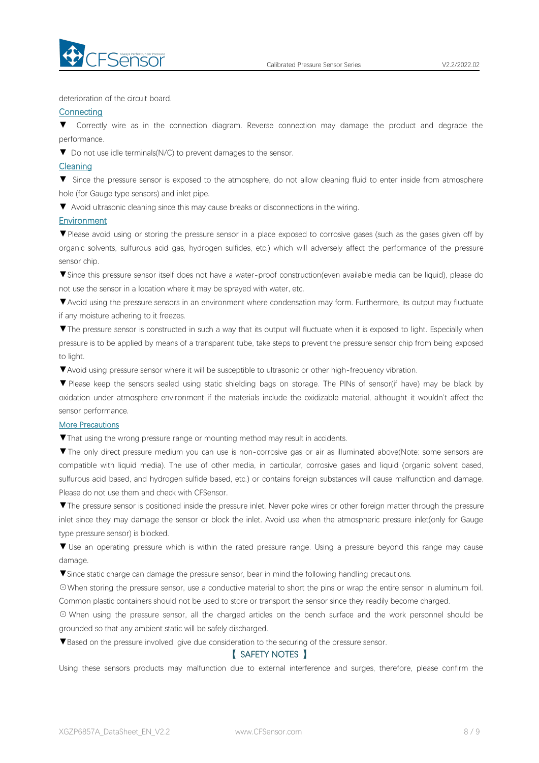

deterioration of the circuit board.

### **Connecting**

▼ Correctly wire as in the connection diagram. Reverse connection may damage the productand degrade the performance.

▼ Do not use idle terminals(N/C) to prevent damages to the sensor.

#### Cleaning

▼ Since the pressure sensor is exposed to the atmosphere, do not allow cleaning fluid to enter inside from atmosphere hole (for Gauge type sensors) and inlet pipe.

▼ Avoid ultrasonic cleaning since this may cause breaks or disconnections in the wiring.

#### **Environment**

▼Please avoid using or storing the pressure sensor in a place exposed to corrosive gases (such as the gases given off by organic solvents, sulfurous acid gas, hydrogen sulfides, etc.) which will adversely affect the performance of the pressure sensor chip.

▼Since this pressure sensor itself does not have a water-proof construction(even available media can be liquid), please do not use the sensor in alocation where it may be sprayed with water, etc.

▼Avoid using the pressure sensors in an environment where condensation may form. Furthermore, its output may fluctuate if any moisture adhering to it freezes.

▼The pressure sensor is constructed in such a way that its output will fluctuate when it is exposed to light. Especially when pressure is to be applied by means of a transparent tube, take steps to prevent the pressure sensor chip from being exposed to light.

▼Avoid using pressure sensor where it will be susceptible to ultrasonic or other high-frequency vibration.

▼ Please keep the sensors sealed using static shielding bags on storage. The PINs of sensor(if have) may be black by oxidation under atmosphere environment if the materials include the oxidizable material, althought it wouldn't affect the sensor performance.

#### More Precautions

▼That using the wrong pressure range or mounting method mayresult in accidents.

▼The only direct pressure medium you can use is non-corrosive gas or air as illuminated above(Note: some sensors are compatible with liquid media). The use of other media, in particular, corrosive gases and liquid (organic solvent based, sulfurous acid based, and hydrogen sulfide based, etc.) or contains foreign substances will cause malfunction and damage.<br>Please do not use them and check with CFSensor.

▼The pressure sensor is positioned inside the pressure inlet. Never poke wires orother foreign matter through the pressure inlet since they may damage the sensor or block the inlet. Avoid use when the atmospheric pressure inlet(only for Gauge type pressure sensor) is blocked.

▼ Use an operating pressure which is within the rated pressure range. Using a pressure beyond this range may cause damage.

▼Since static charge can damage the pressure sensor, bear in mind the following handling precautions.

☉When storing the pressure sensor, use a conductive material to short the pins or wrap the entire sensor in aluminum foil. Common plastic containers should not be used to store or transport the sensor since they readily become charged.

⊙ When using the pressure sensor, all the charged articles on the bench surface and the work personnel should be grounded so that any ambient static will be safely discharged.

▼Based on the pressure involved, give due consideration to the securing of the pressure sensor.

## 【 SAFETY NOTES 】

Using these sensors products may malfunction due to external interference and surges, therefore, please confirm the